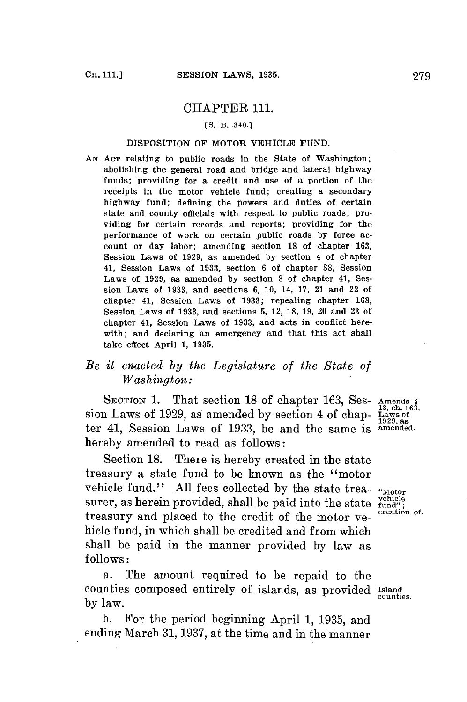## CHAPTER 111.

## **[S. B. 340.J**

## DISPOSITION OF MOTOR VEHICLE **FUND.**

**AN** Acr relating to public roads in the State of Washington; abolishing the general road and bridge and lateral highway funds; providing for a credit and use of a portion of the receipts in the motor vehicle fund; creating a secondary highway fund; defining the powers and duties of certain state and county officials with respect to public roads; providing for certain records and reports; providing for the performance of work on certain public roads **by** force account or day labor; amending section **18** of chapter **163,** Session Laws of **1929,** as amended **by** section 4 of chapter 41, Session Laws of **1933,** section **6** of chapter **88,** Session Laws of **1929,** as amended **by** section **8** of chapter 41, Session Laws of **1933,** and sections **6, 10,** 14, **17,** 21 and 22 of chapter 41, Session Laws of **1933;** repealing chapter **168,** Session Laws of **1933,** and sections **5,** 12, **18, 19,** 20 and **23** of chapter 41, Session Laws of **1933,** and acts in conflict herewith; and declaring an emergency and that this act shall take effect April **1, 1935.**

## *Be it enacted by the Legislature of the State of Washington:*

**SECTION 1.** That section **18** of chapter **163,** Ses- Amends I **18,** ch. **163,** sion Laws of **1929,** as amended **by** section 4 of chap- Laws of ter 41, Session Laws of 1933, be and the same is <sup>amended</sup>. hereby amended to read as follows:

Section **18.** There is hereby created in the state treasury a state fund to be known as the "motor vehicle fund." All fees collected by the state trea-  $v_{\text{Motor}}$  surer, as herein provided, shall be paid into the state  $v_{\text{end}}^{\text{enicle}}$ surer, as herein provided, shall be paid into the state  $\frac{\text{velicle}}{\text{fundi}}$ ; treasury and placed to the credit of the motor vehicle fund, in which shall be credited and from which shall be paid in the manner provided **by** law as **follows:**

a. The amount required to be repaid to the counties composed entirely of islands, as provided Island by  $\ln w$ .

**b.** For the period beginning April **1, 1935,** and ending March **31, 1937,** at the time and in the manner

**1929,** as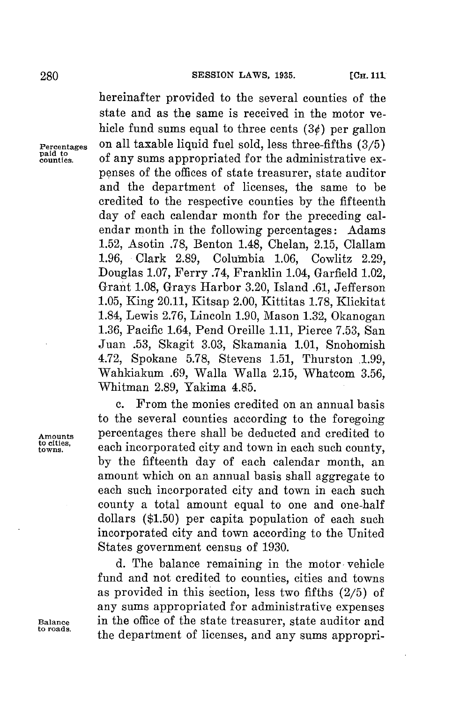hereinafter provided to the several counties of the state and as the same is received in the motor vehicle fund sums equal to three cents  $(3)$  per gallon **Percentages** on all taxable liquid fuel sold, less three-fifths **(3/5) counties.** of any sums appropriated **for** the administrative expenses of the offices of state treasurer, state auditor and the department of licenses, the same to be credited to the respective counties **by** the fifteenth day of each calendar month for the preceding calendar month in the following percentages: Adams **1.52,** Asotin **.78,** Benton 1.48, Chelan, **2.15,** Clallam **1.96,** Clark **2.89,** Columbia **1.06,** Cowlitz **2.29,** Douglas **1.07,** Ferry .74, Franklin 1.04, Garfield 1.02, Grant **1.08,** Grays Harbor **3.20,** Island **.61,** Jefferson **1.05,** King 20.11, Kitsap 2.00, Kittitas **1.78,** Klickitat 1.84, Lewis **2.76,** Lincoln **1.90,** Mason **1.32,** Okanogan **1.36,** Pacific 1.64, Pend Oreille **1.11,** Pierce **7.53,** San Juan **.53,** Skagit **3.03,** Skamania **1.01,** Snohomish 4.72, Spokane **5.78,** Stevens **1.51,** Thurston **.1.99,** Wahkiakum **.69,** Walla Walla **2.15,** Whatcom **3.56,** Whitman **2.89,** Yakima 4.85.

c. From the monies credited on an annual basis to the several counties according to the foregoing Amounts percentages there shall be deducted and credited to to either seek in comparished in the set of the set of the set of the set of the set of the set of the set of the set of the set of the set of the set of the set **towns,** each incorporated city and town in each such county, **by** the fifteenth day of each calendar month, an amount which on an annual basis shall aggregate to each such incorporated city and town in each such county a total amount equal to one and one-half dollars **(\$1.50)** per capita population of each such incorporated city and town according to the United States government census of **1930.**

**d.** The balance remaining in the motor- vehicle fund and not credited to counties, cities and towns as provided in this section, less two fifths **(2/5)** of any sums appropriated for administrative expenses **Balance** in the office of the state treasurer, state auditor and the department of licenses, and any sums appropri-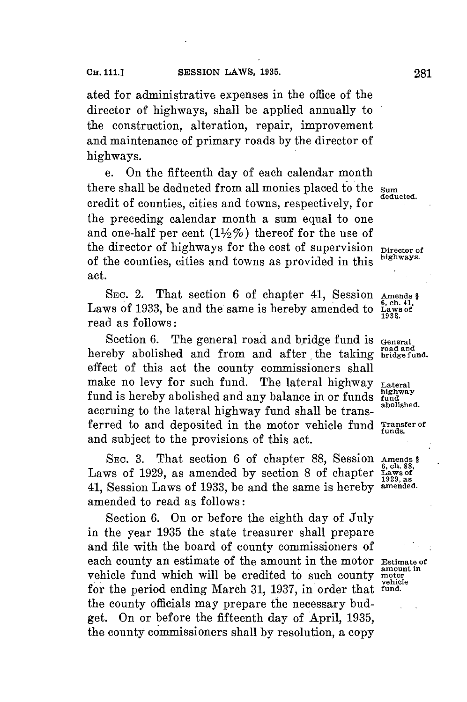ated **for** administrative expenses in the office of the director of highways, shall be applied annually to the construction, alteration, repair, improvement and maintenance of primary roads **by** the director of highways.

e. On the fifteenth day of each calendar month there shall be deducted from all monies placed to the *sum* **deducted.** credit of counties, cities and towns, respectively, **for** the preceding calendar month a sum equal to one and one-half per cent  $(1\frac{1}{2}\%)$  thereof for the use of the director of highways for the cost of supervision **Director** of of the counties, cities and towns as provided in this **highways.** act.

SEC. 2. That section 6 of chapter 41, Session Amends §<br>ws of 1933, be and the same is hereby amended to Laws of Laws of 1933, be and the same is hereby amended to read as follows:

Section 6. The general road and bridge fund is General **road and** hereby abolished and from and after the taking **bridge fund.** effect of this act the county commissioners shall make no levy for such fund. The lateral highway **Lateral** fund is hereby abolished and any balance in or funds fundal purposed. accruing to the lateral highway fund shall be trans- **abolished.** ferred to and deposited in the motor vehicle fund **Transfer of** and subject to the provisions of this act.

**SEC. 3.** That section **6** of chapter **88,** Session **Amends § 6, ch. 88,** Laws of **1929,** as amended **by** section **8** of chapter **Laws of 1929, as** 41, Session Laws of **1933,** be and the same is hereby **amended.** amended to read as follows:

Section **6.** On or before the eighth day of July in the year **1935** the state treasurer shall prepare and file with the board of county commissioners of each county an estimate of the amount in the motor **Estimate of** vehicle fund which will be credited to such county motor for the period ending March 31, 1937, in order that **fund**. the county officials may prepare the necessary budget. On or before the fifteenth day of April, **1935,** the county commissioners shall **by** resolution, a copy

**funds.**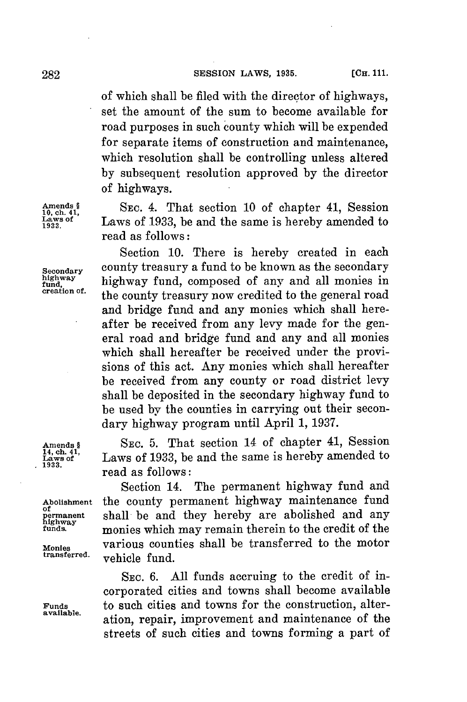of which shall be filed with the director of highways, set the amount of the sum to become available **for** road purposes in such county which will be expended for separate items of construction and maintenance, which resolution shall be controlling unless altered **by** subsequent resolution approved **by** the director of highways.

Amends § SEC. 4. That section 10 of chapter 41, Session Laws of 1933, be and the same is hereby amended to Laws of 1933, be and the same is hereby amended to read as follows:

Section **10.** There is hereby created in each **Secondary** county treasury a fund to be known as the secondary highway <br>highway **highway fund, composed of any and all monies in**<br>creation of. the secondary treasures were unabited to the general need the county treasury now credited to the general road and bridge fund and any monies which shall hereafter be received from any levy made for the general road and bridge fund and any and all monies which shall hereafter be received under the provisions of this act. Any monies which shall hereafter be received from any county or road district levy shall be deposited in the secondary highway fund to be used **by** the counties in carrying out their secondary highway program until April **1, 1937.**

**Amends §** SEC. **5.** That section 14 of chapter 41, Session **14, ch. 41, Eaws of** Laws of **1933,** be and the same is hereby amended to **1933.** read as follows:

Section 14. The permanent highway fund and **Abolishment** the county permanent highway maintenance fund permanent shall be and they hereby are abolished and any highway<br>highway **monies which may remain therein to the credit** of the **funda** monies which may remain therein to the credit of the Monies various counties shall be transferred to the motor<br>transferred. realigle fund vehicle fund.

SEC. **6. All** funds accruing to the credit of incorporated cities and towns shall become available **Funds** to such cities and towns for the construction, alteration, repair, improvement and maintenance of the streets of such cities and towns forming a part of

of<br>permanent<br>highway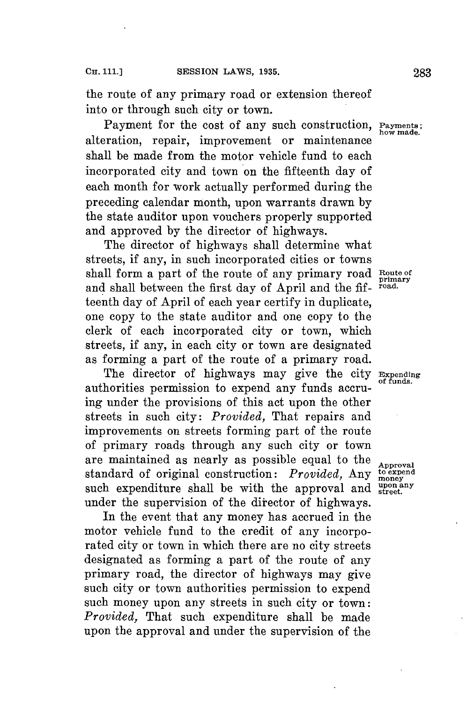the route of any primary road or extension thereof into or through such city or town.

Payment for the cost of any such construction, **Payments** how made. alteration, repair, improvement or maintenance shall be made from the motor vehicle fund to each incorporated city and town on the fifteenth day of each month for work actually performed during the preceding calendar month, upon warrants drawn **by** the state auditor upon vouchers properly supported and approved **by** the director of highways.

The director of highways shall determine what streets, if any, in such incorporated cities or towns shall form a part of the route of any primary road Route of<br>and shall hetween the first day of April and the fi<sup>rmad</sup> and shall between the first day of April and the fifteenth day of April of each year certify in duplicate, one copy to the state auditor and one copy to the clerk of each incorporated city or town, which streets, if any, in each city or town are designated as forming a part of the route of a primary road.

The director of highways may give the city **Expending** authorities permission to expend any funds accruing under the provisions of this act upon the other streets in such city: *Provided,* That repairs and improvements on streets forming part of the route of primary roads through any such city or town are maintained as nearly as possible equal to the **Approval** standard of original construction: *Provided*, Any to expend such expenditure shall be with the approval and **"** under the supervision of the director of highways.

In the event that any money has accrued in the motor vehicle fund to the credit of any incorporated city or town in which there are no city streets designated as forming a part of the route of any primary road, the director of highways may give such city or town authorities permission to expend such money upon any streets in such city or town: *Provided,* That such expenditure shall be made upon the approval and under the supervision of the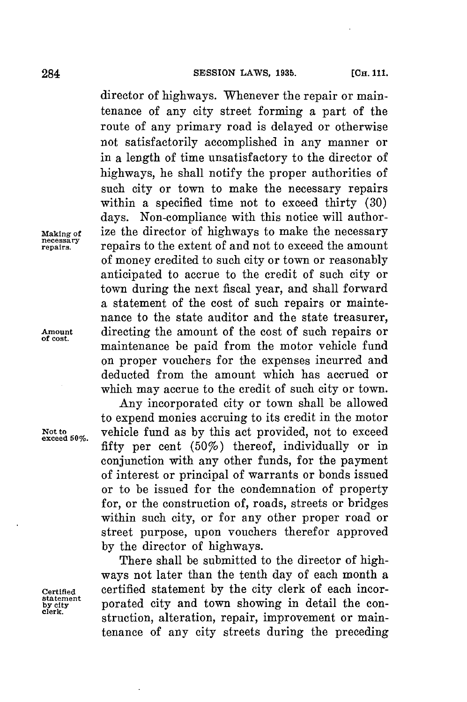director of highways. Whenever the repair or maintenance of any city street forming a part of the route of any primary road is delayed or otherwise not satisfactorily accomplished in any manner or in a length of time unsatisfactory to the director of highways, he shall notify the proper authorities of such city or town to make the necessary repairs within a specified time not to exceed thirty **(30)** days. Non-compliance with this notice will author-**Making of** ize the director **of** highways to make the necessary **repary** repairs to the extent of and not to exceed the amount of money credited to such city or town or reasonably anticipated to accrue to the credit of such city or town during the next fiscal year, and shall forward a statement of the cost of such repairs or maintenance to the state auditor and the state treasurer, Amount directing the amount of the cost of such repairs or maintenance be paid from the motor vehicle fund on proper vouchers **for** the expenses incurred and deducted from the amount which has accrued or which may accrue to the credit of such city or town.

Any incorporated city or town shall be allowed to expend monies accruing to its credit in the motor Not to vehicle fund as by this act provided, not to exceed fifty per cent (50%) thereof, individually or in conjunction with any other funds, for the payment of interest or principal of warrants or bonds issued or to be issued for the condemnation of property for, or the construction of, roads, streets or bridges within such city, or **for** any other proper road or street purpose, upon vouchers therefor approved **by** the director of highways.

There shall be submitted to the director of highways not later than the tenth day of each month a **Certified** certified statement **by** the city clerk of each incor**by city** porated city and town showing in detail the construction, alteration, repair, improvement or maintenance of any city streets during the preceding

statement<br>by city<br>clerk.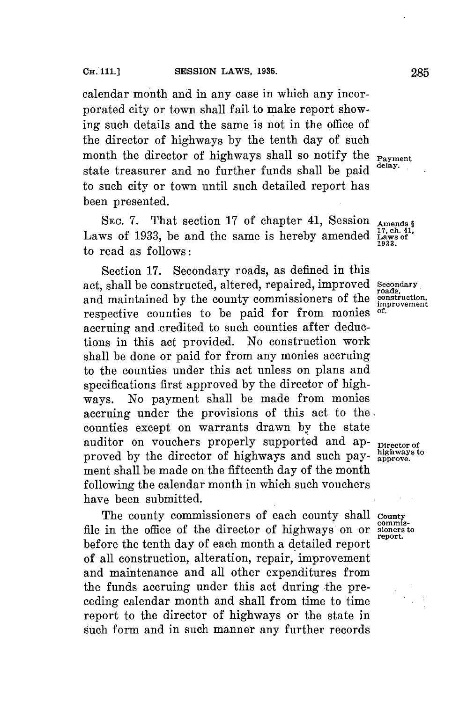porated city or town shall fail to make report showing such details and the same is not in the office of the director of highways **by** the tenth day of such month the director of highways shall so notify the **Payment** state treasurer and no further funds shall be paid to such city or town until such detailed report has been presented.

SEC. 7. That section 17 of chapter 41, Session **Amends 6**<br>ws of 1933, be and the same is hereby amended Lawset Laws of 1933, be and the same is hereby amended to read as follows:

Section **17.** Secondary roads, as defined in this act, shall be constructed, altered, repaired, improved **secondary, roads,** and maintained by the county commissioners of the **construction** respective counties to be paid **for** from monies **of.** accruing and credited to such counties after deductions in this act provided. No construction work shall be done or paid for from any monies accruing to the counties under this act unless on plans and specifications first approved **by** the director of highways. No payment shall be made from monies accruing under the provisions of this act to the. counties except on warrants drawn **by** the state auditor on vouchers properly supported and ap- **Director** of proved by the director of highways and such payment shall be made on the fifteenth day of the month following the calendar month in which such vouchers have been submitted.

The county commissioners of each county shall county<br>in the office of the director of highways on or signers to file in the office of the director of highways on or sioners before the tenth day of each month a detailed report of all construction, alteration, repair, improvement and maintenance and all other expenditures from the funds accruing under this act during the preceding calendar month and shall from time to time report to the director of highways or the state in such form and in such manner any further records

**1933.**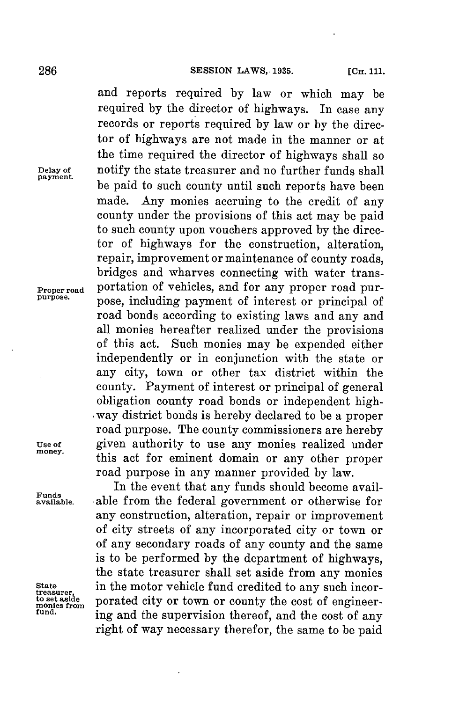and reports required **by** law or which may be required **by** the director of highways. In case any records or reports required **by** law or **by** the director of highways are not made in the manner or at the time required the director of highways shall so **Delay of** notify the state treasurer and no further funds shall **payment.** be paid to such county until such reports have been made. Any monies accruing to the credit of any county under the provisions of this act may be paid to such county upon vouchers approved **by** the director of highways for the construction, alteration, repair, improvement or maintenance of county roads, bridges and wharves connecting with water trans-**Proper road** portation of vehicles, and for any proper road purpose, including payment of interest or principal of road bonds according to existing laws and any and all monies hereafter realized under the provisions of this act. Such monies may be expended either independently or in conjunction with the state or any city, town or other tax district within the county. Payment of interest or principal of general obligation county road bonds or independent high- .way district bonds is hereby declared to be a proper road purpose. The county commissioners are hereby Use of **given authority** to use any monies realized under money. this act for eminent domain or any other proper road purpose in any manner provided **by** law.

In the event that any funds should become available from the federal government or otherwise for any construction, alteration, repair or improvement of city streets of any incorporated city or town or of any secondary roads of any county and the same is to be performed **by** the department of highways, the state treasurer shall set aside from any monies State in the motor vehicle fund credited to any such incor-<br>to set aside porated city or town or county the cost of engineermonies from portated city or town or county the cost of engineer-<br><sup>fund.</sup> ing and the supervision thereof, and the cost of any right of way necessary therefor, the same to **be** paid

**Funds**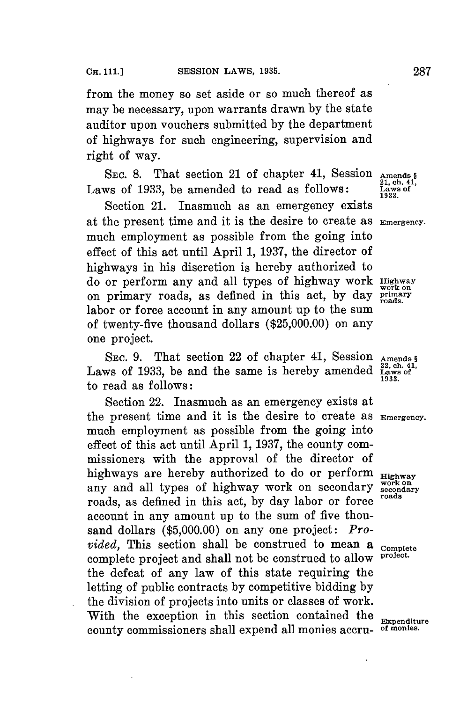from the money so set aside or so much thereof as may be necessary, upon warrants drawn **by** the state auditor upon vouchers submitted **by** the department of highways for such engineering, supervision and right of way.

SEC. 8. That section 21 of chapter 41, Session Amends § Laws of 1933, be amended to read as follows:

Section 21. Inasmuch as an emergency exists at the present time and it is the desire to create as **Emergency.** much employment as possible from the going into effect of this act until April **1, 1937,** the director of highways in his discretion is hereby authorized to do or perform any and all types of highway work **Highway** on primary roads, as defined in this act, by day **primary** labor or force account in any amount up to the sum of twenty-five thousand dollars **(\$25,000.00)** on any one project.

SEC. 9. That section 22 of chapter 41, Session **Amends** § Laws of 1933, be and the same is hereby amended  $\frac{22, \text{ch. }41}{1933}$ to read as follows:

Section 22. Inasmuch as an emergency exists at the present time and it is the desire to create as **Emergency.** much employment as possible from the going into effect of this act until April **1, 1937,** the county commissioners with the approval of the director of highways are hereby authorized to do or perform  $Highway$ any and all types of highway work on secondary **secondary** secondary roads, as defined in this act, by day labor or force account in any amount up to the sum of five thousand dollars **(\$5,000.00)** on any one project: *Provided*, This section shall be construed to mean a complete complete complete project. complete project and shall not be construed to allow **project.** the defeat of any law of this state requiring the letting of public contracts **by** competitive bidding **by** the division of projects into units or classes of work. With the exception in this section contained the **Expenditure** county commissioners shall expend all monies accru- **of monies.**

21, ch. 41, **1933.**

**work on**